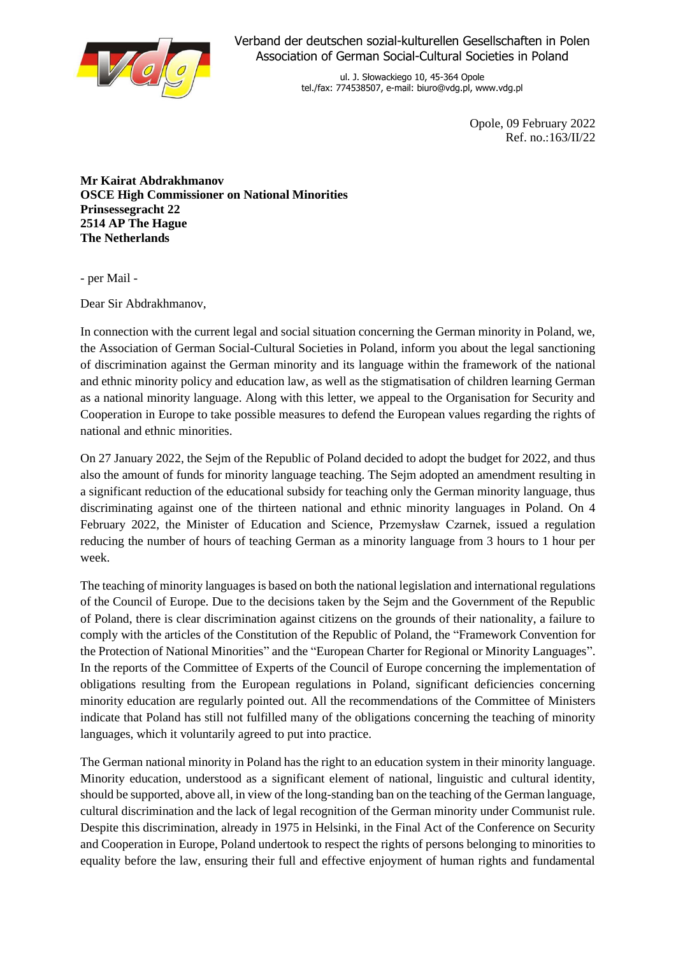

Verband der deutschen sozial-kulturellen Gesellschaften in Polen Association of German Social-Cultural Societies in Poland

> ul. J. Słowackiego 10, 45-364 Opole tel./fax: 774538507, e-mail: biuro@vdg.pl, www.vdg.pl

> > Opole, 09 February 2022 Ref. no.:163/II/22

**Mr Kairat Abdrakhmanov OSCE High Commissioner on National Minorities Prinsessegracht 22 2514 AP The Hague The Netherlands**

- per Mail -

Dear Sir Abdrakhmanov,

In connection with the current legal and social situation concerning the German minority in Poland, we, the Association of German Social-Cultural Societies in Poland, inform you about the legal sanctioning of discrimination against the German minority and its language within the framework of the national and ethnic minority policy and education law, as well as the stigmatisation of children learning German as a national minority language. Along with this letter, we appeal to the Organisation for Security and Cooperation in Europe to take possible measures to defend the European values regarding the rights of national and ethnic minorities.

On 27 January 2022, the Sejm of the Republic of Poland decided to adopt the budget for 2022, and thus also the amount of funds for minority language teaching. The Sejm adopted an amendment resulting in a significant reduction of the educational subsidy for teaching only the German minority language, thus discriminating against one of the thirteen national and ethnic minority languages in Poland. On 4 February 2022, the Minister of Education and Science, Przemysław Czarnek, issued a regulation reducing the number of hours of teaching German as a minority language from 3 hours to 1 hour per week.

The teaching of minority languages is based on both the national legislation and international regulations of the Council of Europe. Due to the decisions taken by the Sejm and the Government of the Republic of Poland, there is clear discrimination against citizens on the grounds of their nationality, a failure to comply with the articles of the Constitution of the Republic of Poland, the "Framework Convention for the Protection of National Minorities" and the "European Charter for Regional or Minority Languages". In the reports of the Committee of Experts of the Council of Europe concerning the implementation of obligations resulting from the European regulations in Poland, significant deficiencies concerning minority education are regularly pointed out. All the recommendations of the Committee of Ministers indicate that Poland has still not fulfilled many of the obligations concerning the teaching of minority languages, which it voluntarily agreed to put into practice.

The German national minority in Poland has the right to an education system in their minority language. Minority education, understood as a significant element of national, linguistic and cultural identity, should be supported, above all, in view of the long-standing ban on the teaching of the German language, cultural discrimination and the lack of legal recognition of the German minority under Communist rule. Despite this discrimination, already in 1975 in Helsinki, in the Final Act of the Conference on Security and Cooperation in Europe, Poland undertook to respect the rights of persons belonging to minorities to equality before the law, ensuring their full and effective enjoyment of human rights and fundamental